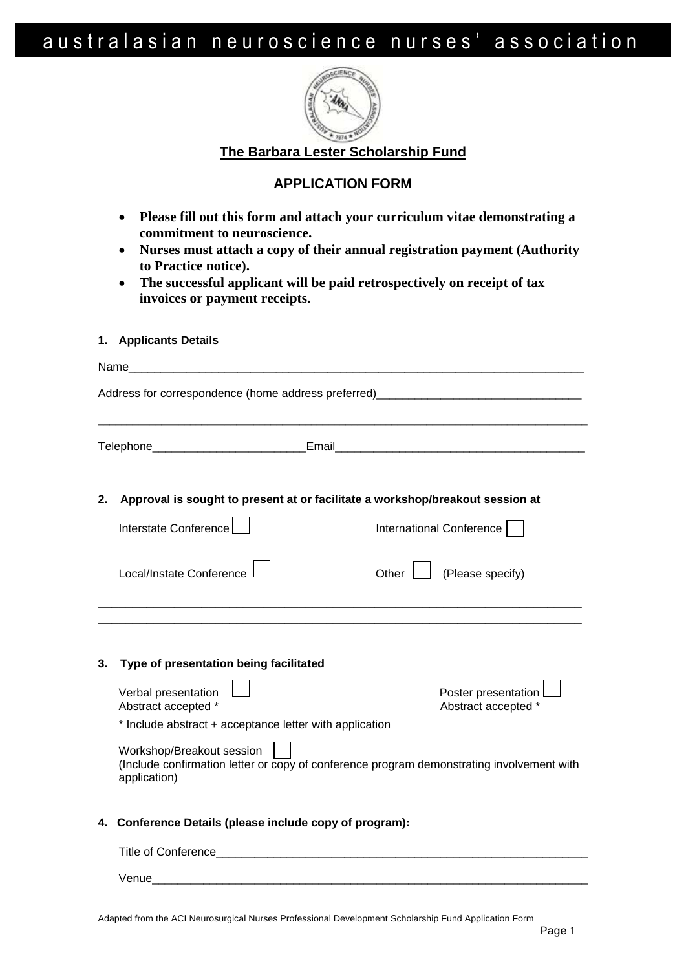## australasian neuroscience nurses' association



**The Barbara Lester Scholarship Fund**

## **APPLICATION FORM**

- **Please fill out this form and attach your curriculum vitae demonstrating a commitment to neuroscience.**
- **Nurses must attach a copy of their annual registration payment (Authority to Practice notice).**
- **The successful applicant will be paid retrospectively on receipt of tax invoices or payment receipts.**

|                                                                                     | 1. Applicants Details                                                                                                                  |                                            |  |
|-------------------------------------------------------------------------------------|----------------------------------------------------------------------------------------------------------------------------------------|--------------------------------------------|--|
|                                                                                     | Name                                                                                                                                   |                                            |  |
|                                                                                     | Address for correspondence (home address preferred)_____________________________                                                       |                                            |  |
|                                                                                     |                                                                                                                                        |                                            |  |
| Approval is sought to present at or facilitate a workshop/breakout session at<br>2. |                                                                                                                                        |                                            |  |
|                                                                                     | Interstate Conference                                                                                                                  | International Conference                   |  |
|                                                                                     | Local/Instate Conference                                                                                                               | (Please specify)<br>Other $\vert$          |  |
| 3.                                                                                  | Type of presentation being facilitated                                                                                                 |                                            |  |
|                                                                                     | Verbal presentation<br>Abstract accepted *                                                                                             | Poster presentation<br>Abstract accepted * |  |
|                                                                                     | * Include abstract + acceptance letter with application                                                                                |                                            |  |
|                                                                                     | Workshop/Breakout session<br>(Include confirmation letter or copy of conference program demonstrating involvement with<br>application) |                                            |  |
|                                                                                     | 4. Conference Details (please include copy of program):                                                                                |                                            |  |
|                                                                                     |                                                                                                                                        |                                            |  |